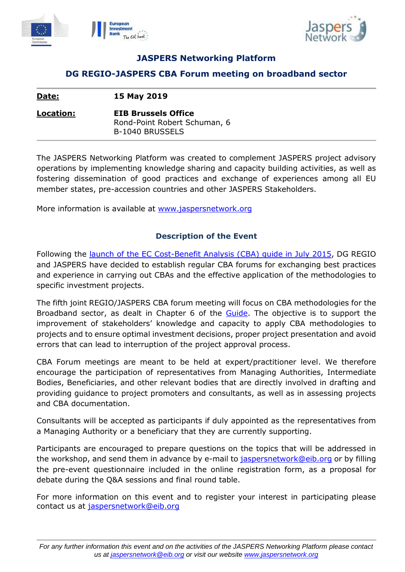



# **JASPERS Networking Platform**

## **DG REGIO-JASPERS CBA Forum meeting on broadband sector**

| Date:     | 15 May 2019                                                                          |
|-----------|--------------------------------------------------------------------------------------|
| Location: | <b>EIB Brussels Office</b><br>Rond-Point Robert Schuman, 6<br><b>B-1040 BRUSSELS</b> |

The JASPERS Networking Platform was created to complement JASPERS project advisory operations by implementing knowledge sharing and capacity building activities, as well as fostering dissemination of good practices and exchange of experiences among all EU member states, pre-accession countries and other JASPERS Stakeholders.

More information is available at [www.jaspersnetwork.org](file:///C:/Users/duff/AppData/Local/Microsoft/Windows/Temporary%20Internet%20Files/Content.Outlook/8GVW98XR/www.jaspersnetwork.org)

## **Description of the Event**

Following the [launch of the EC Cost-Benefit Analysis \(CBA\)](http://www.jaspersnetwork.org/display/EVE/Launch+event+of+the+Guide+to+Cost-Benefit+Analysis+of+Investment+Projects) guide in July 2015, DG REGIO and JASPERS have decided to establish regular CBA forums for exchanging best practices and experience in carrying out CBAs and the effective application of the methodologies to specific investment projects.

The fifth joint REGIO/JASPERS CBA forum meeting will focus on CBA methodologies for the Broadband sector, as dealt in Chapter 6 of the **Guide**. The objective is to support the improvement of stakeholders' knowledge and capacity to apply CBA methodologies to projects and to ensure optimal investment decisions, proper project presentation and avoid errors that can lead to interruption of the project approval process.

CBA Forum meetings are meant to be held at expert/practitioner level. We therefore encourage the participation of representatives from Managing Authorities, Intermediate Bodies, Beneficiaries, and other relevant bodies that are directly involved in drafting and providing guidance to project promoters and consultants, as well as in assessing projects and CBA documentation.

Consultants will be accepted as participants if duly appointed as the representatives from a Managing Authority or a beneficiary that they are currently supporting.

Participants are encouraged to prepare questions on the topics that will be addressed in the workshop, and send them in advance by e-mail to [jaspersnetwork@eib.org](mailto:jaspersnetwork@eib.org) or by filling the pre-event questionnaire included in the online registration form, as a proposal for debate during the Q&A sessions and final round table.

For more information on this event and to register your interest in participating please contact us at [jaspersnetwork@eib.org](mailto:jaspersnetwork@eib.org)

*For any further information this event and on the activities of the JASPERS Networking Platform please contact us at [jaspersnetwork@eib.org](mailto:jaspersnetwork@eib.org) or visit our website [www.jaspersnetwork.org](http://www.jaspersnetwork.org/)*